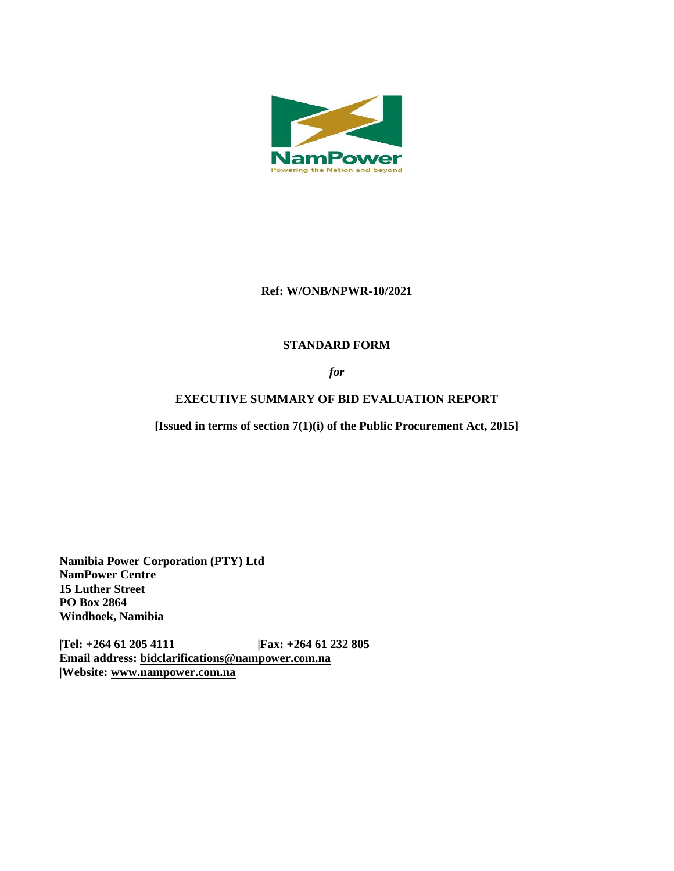

### **Ref: W/ONB/NPWR-10/2021**

# **STANDARD FORM**

*for*

# **EXECUTIVE SUMMARY OF BID EVALUATION REPORT**

**[Issued in terms of section 7(1)(i) of the Public Procurement Act, 2015]** 

**Namibia Power Corporation (PTY) Ltd NamPower Centre 15 Luther Street PO Box 2864 Windhoek, Namibia**

**|Tel: +264 61 205 4111 |Fax: +264 61 232 805 Email address: [bidclarifications@nampower.com.na](mailto:bidclarifications@nampower.com.na) |Website: [www.n](http://www./)ampower.com.na**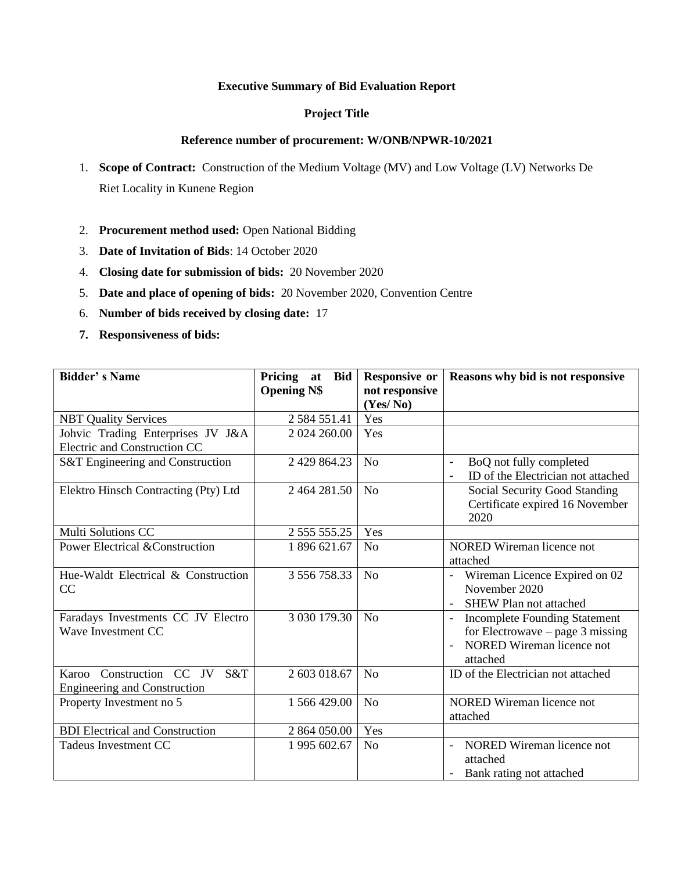### **Executive Summary of Bid Evaluation Report**

### **Project Title**

#### **Reference number of procurement: W/ONB/NPWR-10/2021**

- 1. **Scope of Contract:** Construction of the Medium Voltage (MV) and Low Voltage (LV) Networks De Riet Locality in Kunene Region
- 2. **Procurement method used:** Open National Bidding
- 3. **Date of Invitation of Bids**: 14 October 2020
- 4. **Closing date for submission of bids:** 20 November 2020
- 5. **Date and place of opening of bids:** 20 November 2020, Convention Centre
- 6. **Number of bids received by closing date:** 17
- **7. Responsiveness of bids:**

| <b>Bidder's Name</b>                                                   | Pricing at<br><b>Bid</b><br><b>Opening N\$</b> | <b>Responsive or</b><br>not responsive<br>(Yes/No) | Reasons why bid is not responsive                                                                                                             |  |
|------------------------------------------------------------------------|------------------------------------------------|----------------------------------------------------|-----------------------------------------------------------------------------------------------------------------------------------------------|--|
| <b>NBT Quality Services</b>                                            | 2 5 8 4 5 5 1 .4 1                             | Yes                                                |                                                                                                                                               |  |
| Johvic Trading Enterprises JV J&A<br>Electric and Construction CC      | 2 024 260.00                                   | Yes                                                |                                                                                                                                               |  |
| <b>S&amp;T</b> Engineering and Construction                            | 2 429 864.23                                   | N <sub>o</sub>                                     | BoQ not fully completed<br>ID of the Electrician not attached                                                                                 |  |
| Elektro Hinsch Contracting (Pty) Ltd                                   | 2464281.50                                     | N <sub>o</sub>                                     | Social Security Good Standing<br>Certificate expired 16 November<br>2020                                                                      |  |
| <b>Multi Solutions CC</b>                                              | 2 555 555.25                                   | Yes                                                |                                                                                                                                               |  |
| <b>Power Electrical &amp; Construction</b>                             | 1 896 621.67                                   | N <sub>0</sub>                                     | <b>NORED</b> Wireman licence not<br>attached                                                                                                  |  |
| Hue-Waldt Electrical & Construction<br>CC                              | 3 556 758.33                                   | N <sub>o</sub>                                     | - Wireman Licence Expired on 02<br>November 2020<br>SHEW Plan not attached                                                                    |  |
| Faradays Investments CC JV Electro<br>Wave Investment CC               | 3 030 179.30                                   | N <sub>o</sub>                                     | <b>Incomplete Founding Statement</b><br>$\blacksquare$<br>for Electrowave – page 3 missing<br>NORED Wireman licence not<br>$\sim$<br>attached |  |
| Karoo Construction CC JV<br>S&T<br><b>Engineering and Construction</b> | 2 603 018.67                                   | N <sub>o</sub>                                     | ID of the Electrician not attached                                                                                                            |  |
| Property Investment no 5                                               | 1 566 429.00                                   | N <sub>o</sub>                                     | <b>NORED</b> Wireman licence not<br>attached                                                                                                  |  |
| <b>BDI</b> Electrical and Construction                                 | 2 864 050.00                                   | Yes                                                |                                                                                                                                               |  |
| <b>Tadeus Investment CC</b>                                            | 1 995 602.67                                   | N <sub>o</sub>                                     | NORED Wireman licence not<br>attached<br>Bank rating not attached                                                                             |  |